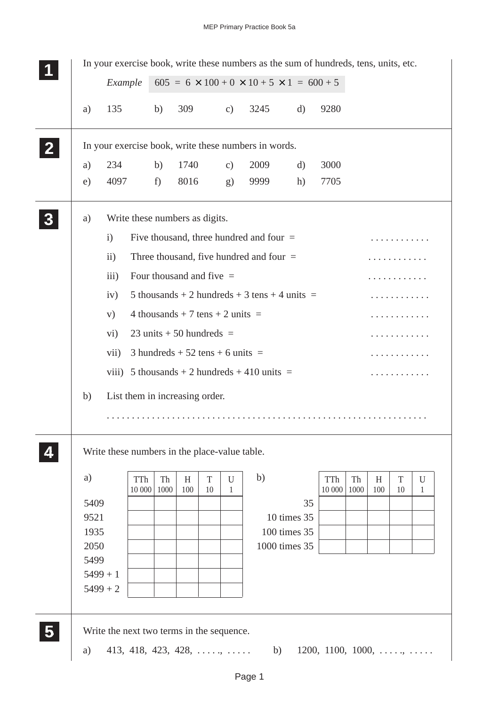| a)   | 135                                                  | b)                                 | 309  |    | $\mathbf{c})$ | 3245                                            | $\mathbf{d}$ | 9280   |      |     |         |  |
|------|------------------------------------------------------|------------------------------------|------|----|---------------|-------------------------------------------------|--------------|--------|------|-----|---------|--|
|      |                                                      |                                    |      |    |               |                                                 |              |        |      |     |         |  |
|      | In your exercise book, write these numbers in words. |                                    |      |    |               |                                                 |              |        |      |     |         |  |
| a)   | 234                                                  | b)                                 | 1740 |    | $\mathbf{c})$ | 2009                                            | $\rm d)$     | 3000   |      |     |         |  |
| e)   | 4097                                                 | f)                                 | 8016 |    | g)            | 9999                                            | h)           | 7705   |      |     |         |  |
| a)   | Write these numbers as digits.                       |                                    |      |    |               |                                                 |              |        |      |     |         |  |
|      | $\mathbf{i}$                                         |                                    |      |    |               | Five thousand, three hundred and four $=$       |              |        |      |     |         |  |
|      | $\rm ii)$                                            |                                    |      |    |               | Three thousand, five hundred and four $=$       |              |        |      |     |         |  |
|      | iii)                                                 | Four thousand and five $=$         |      |    |               |                                                 |              |        |      |     | .       |  |
|      | iv)                                                  |                                    |      |    |               | 5 thousands + 2 hundreds + 3 tens + 4 units $=$ |              |        |      |     |         |  |
|      | V)                                                   | 4 thousands + 7 tens + 2 units =   |      |    |               |                                                 |              |        |      |     | .       |  |
|      | $\rm{vi})$                                           | 23 units $+50$ hundreds =          |      |    |               |                                                 |              |        |      |     | .       |  |
|      | vii)                                                 | $3$ hundreds + 52 tens + 6 units = |      |    |               |                                                 |              |        |      |     | .       |  |
|      |                                                      |                                    |      |    |               |                                                 |              |        |      |     |         |  |
|      | viii)                                                |                                    |      |    |               | 5 thousands + 2 hundreds + 410 units $=$        |              |        |      |     |         |  |
| b)   | List them in increasing order.                       |                                    |      |    |               |                                                 |              |        |      |     |         |  |
|      |                                                      |                                    |      |    |               |                                                 |              |        |      |     |         |  |
|      |                                                      |                                    |      |    |               |                                                 |              |        |      |     |         |  |
|      | Write these numbers in the place-value table.        |                                    |      |    |               |                                                 |              |        |      |     |         |  |
| a)   | TTh                                                  | Th                                 | H    | T  | U             | b)                                              |              | TTh    | Th   | H   | $\rm T$ |  |
| 5409 | 10 000                                               | 1000                               | 100  | 10 | 1             |                                                 | 35           | 10 000 | 1000 | 100 | 10      |  |
| 9521 |                                                      |                                    |      |    |               | 10 times 35                                     |              |        |      |     |         |  |
| 1935 |                                                      |                                    |      |    |               | 100 times 35                                    |              |        |      |     |         |  |
| 2050 |                                                      |                                    |      |    |               | 1000 times 35                                   |              |        |      |     |         |  |
| 5499 |                                                      |                                    |      |    |               |                                                 |              |        |      |     |         |  |
|      | $5499 + 1$<br>$5499 + 2$                             |                                    |      |    |               |                                                 |              |        |      |     |         |  |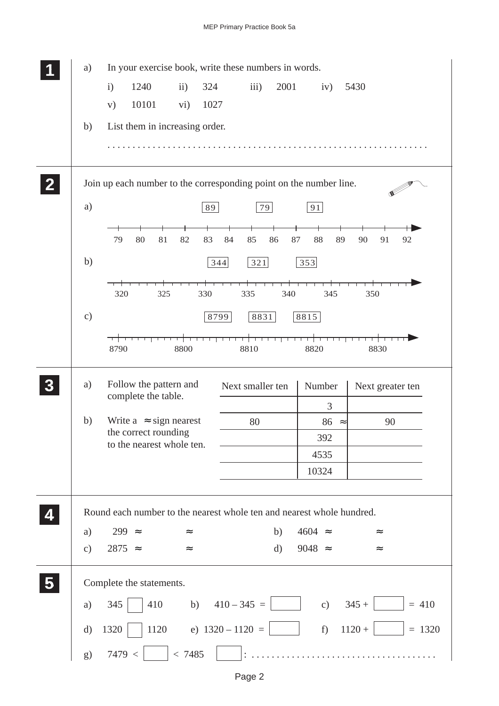|                         | a)            | In your exercise book, write these numbers in words.                             |
|-------------------------|---------------|----------------------------------------------------------------------------------|
|                         |               | 1240<br>324<br>iii)<br>2001<br>$\mathbf{i}$<br>$\ddot{i}$<br>iv)<br>5430         |
|                         |               | 10101<br>1027<br>$\rm vi)$<br>V)                                                 |
|                         | b)            | List them in increasing order.                                                   |
|                         |               |                                                                                  |
|                         |               |                                                                                  |
|                         |               | Join up each number to the corresponding point on the number line.               |
|                         | a)            | 79<br>89<br>91                                                                   |
|                         |               |                                                                                  |
|                         |               | 79<br>80<br>81<br>82<br>83<br>84<br>85<br>86<br>87<br>88<br>89<br>90<br>91<br>92 |
|                         | b)            | 321<br>353<br>344                                                                |
|                         |               |                                                                                  |
|                         |               | 325<br>320<br>330<br>335<br>340<br>350<br>345                                    |
|                         | $\mathbf{c})$ | 8799<br>8831<br>8815                                                             |
|                         |               | <del>,,,,,,,,,,,,,,,,,,,,,,</del><br>T 1 1                                       |
|                         |               | 8810<br>8790<br>8800<br>8820<br>8830                                             |
|                         | a)            | Follow the pattern and                                                           |
|                         |               | Next smaller ten<br>Number<br>Next greater ten<br>complete the table.            |
|                         | b)            | 3<br>Write $a \approx$ sign nearest<br>80<br>$86 \approx$<br>90                  |
|                         |               | the correct rounding<br>392                                                      |
|                         |               | to the nearest whole ten.<br>4535                                                |
|                         |               | 10324                                                                            |
|                         |               |                                                                                  |
|                         |               | Round each number to the nearest whole ten and nearest whole hundred.            |
|                         | a)            | 299 $\approx$<br>$4604 \approx$<br>b)<br>$\approx$<br>$\thickapprox$             |
|                         | $\mathbf{c})$ | 9048 $\approx$<br>$2875 \approx$<br>$\mathbf{d}$<br>$\approx$<br>$\thickapprox$  |
|                         |               |                                                                                  |
| $\overline{\mathbf{5}}$ |               | Complete the statements.                                                         |
|                         | a)            | $410 - 345 =$<br>345<br>$345 +$<br>410<br>b)<br>$= 410$<br>c)                    |
|                         | $\mathbf{d}$  | e) $1320 - 1120 =$<br>1120<br>f)<br>$1120 +$<br>1320<br>$= 1320$                 |
|                         | g)            | < 7485<br>7479 <                                                                 |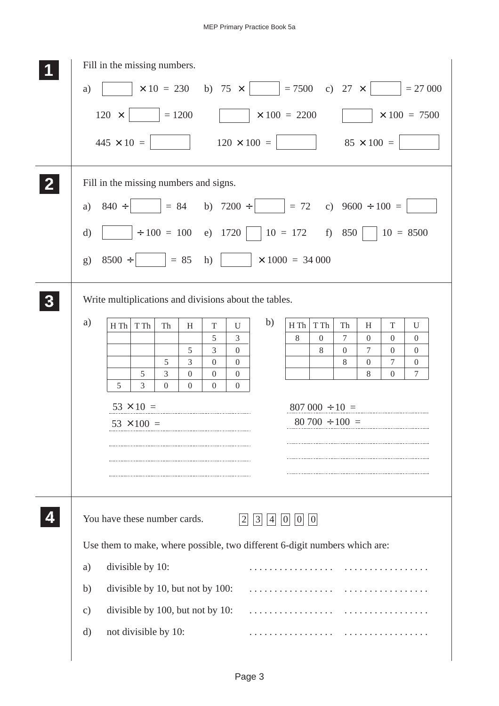| Fill in the missing numbers.                                                                                                                                                                                                                                                                                                                                                                                                                                                                                                                                                                                                                                                                                      |
|-------------------------------------------------------------------------------------------------------------------------------------------------------------------------------------------------------------------------------------------------------------------------------------------------------------------------------------------------------------------------------------------------------------------------------------------------------------------------------------------------------------------------------------------------------------------------------------------------------------------------------------------------------------------------------------------------------------------|
| $\times$ 10 = 230 b) 75 $\times$   = 7500 c) 27 $\times$   = 27 000<br>a)                                                                                                                                                                                                                                                                                                                                                                                                                                                                                                                                                                                                                                         |
| $ 120 \times  $ $  = 1200$<br>$\times 100 = 2200$<br>$\times 100 = 7500$                                                                                                                                                                                                                                                                                                                                                                                                                                                                                                                                                                                                                                          |
| $445 \times 10 =$ $\vert$ $120 \times 100 =$ $\vert$ $85 \times 100 =$                                                                                                                                                                                                                                                                                                                                                                                                                                                                                                                                                                                                                                            |
| Fill in the missing numbers and signs.<br>$840 \div \Big $ = 84 b) 7200 $\div \Big $ = 72 c) 9600 $\div 100 =$<br>a)<br>$\vert \div 100 = 100$ e) 1720   10 = 172 f) 850   10 = 8500<br>d)                                                                                                                                                                                                                                                                                                                                                                                                                                                                                                                        |
| $8500 \div \qquad = 85 \quad h) \qquad \qquad \times 1000 = 34\,000$<br>g)                                                                                                                                                                                                                                                                                                                                                                                                                                                                                                                                                                                                                                        |
| Write multiplications and divisions about the tables.                                                                                                                                                                                                                                                                                                                                                                                                                                                                                                                                                                                                                                                             |
| a)<br>b)<br>$H$ Th<br>T Th<br>Th<br>H<br>$\mathbf T$<br>${\rm T}$ Th<br>U<br>$H$ Th<br>Th<br>T<br>H<br>$\mathbf{U}$<br>5<br>3<br>8<br>$\overline{0}$<br>$\tau$<br>$\overline{0}$<br>$\overline{0}$<br>$\overline{0}$<br>3<br>$\tau$<br>5<br>$\boldsymbol{0}$<br>8<br>$\boldsymbol{0}$<br>$\overline{0}$<br>$\overline{0}$<br>5<br>3<br>$\boldsymbol{0}$<br>8<br>$\tau$<br>$\overline{0}$<br>$\overline{0}$<br>$\overline{0}$<br>8<br>$\tau$<br>5<br>3<br>$\overline{0}$<br>$\boldsymbol{0}$<br>$\overline{0}$<br>$\overline{0}$<br>5<br>$\overline{3}$<br>$\overline{0}$<br>$\Omega$<br>$\overline{0}$<br>$\overline{0}$<br>$53 \times 10 =$<br>$807\,000 \div 10 =$<br>$80\,700 \div 100 =$<br>$53 \times 100 =$ |
| You have these number cards.<br>$ 0 $ $ 0 $<br> 3 <br> 4 <br> 0 <br>$\vert$ 2<br>Use them to make, where possible, two different 6-digit numbers which are:<br>divisible by 10:<br>a)<br>divisible by 10, but not by 100:<br>b)<br>divisible by 100, but not by 10:<br>$\mathbf{c})$<br>not divisible by 10:<br>d)                                                                                                                                                                                                                                                                                                                                                                                                |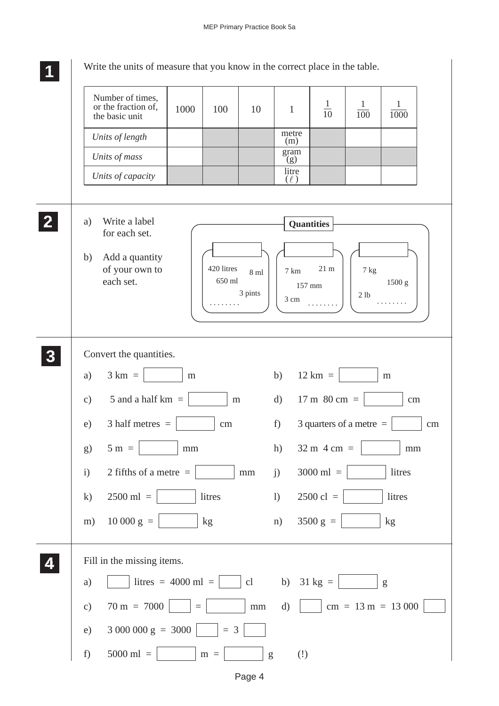

Write the units of measure that you know in the correct place in the table.



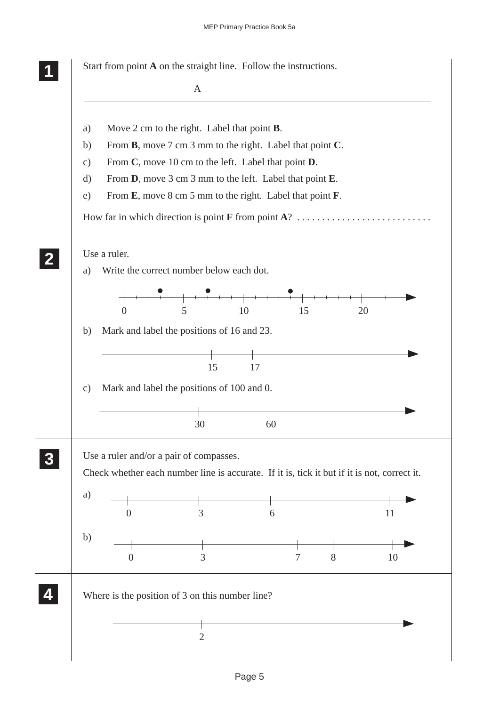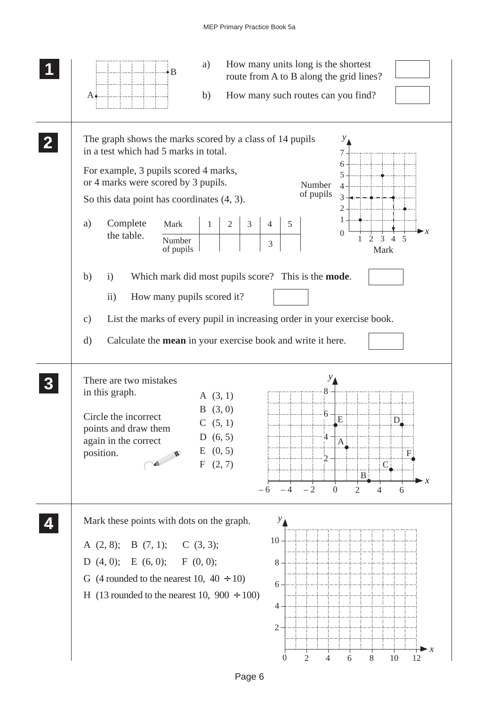## MEP Primary Practice Book 5a

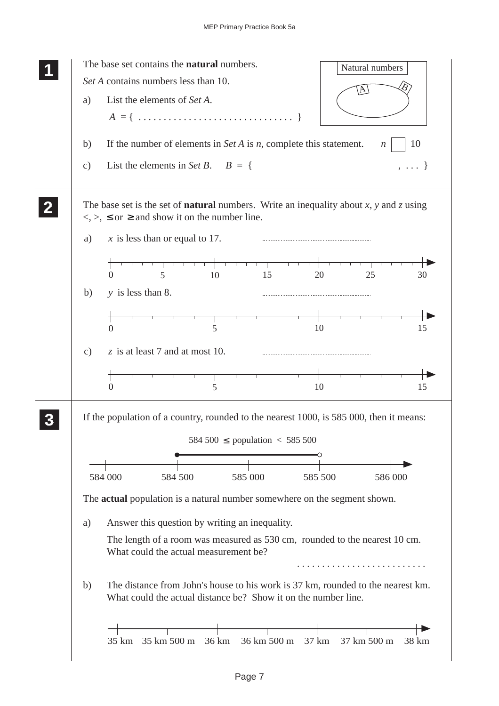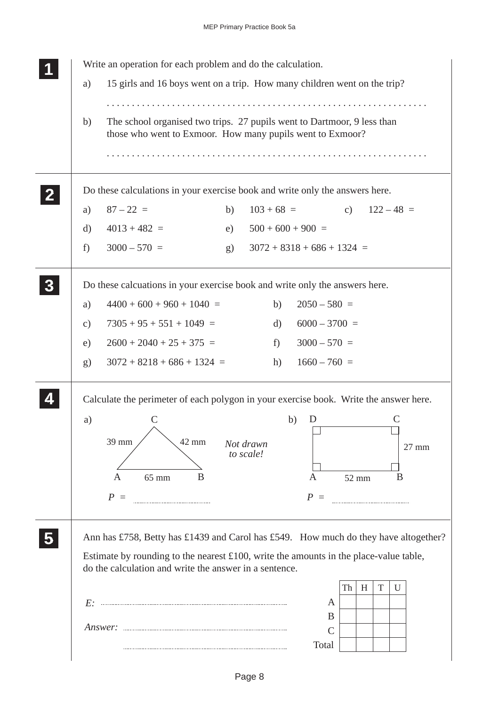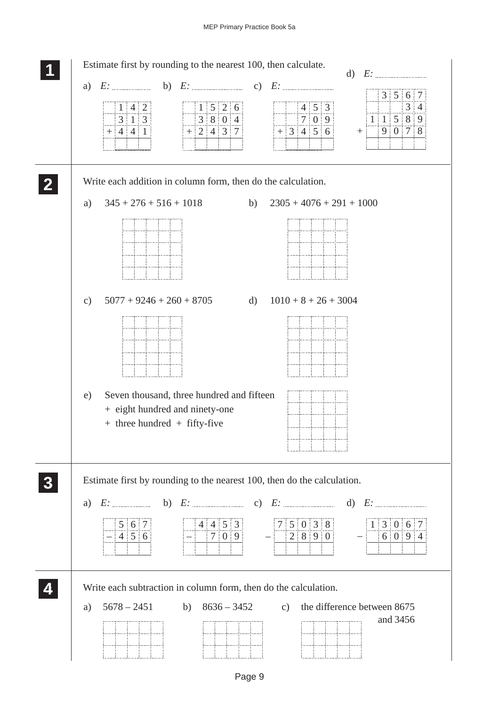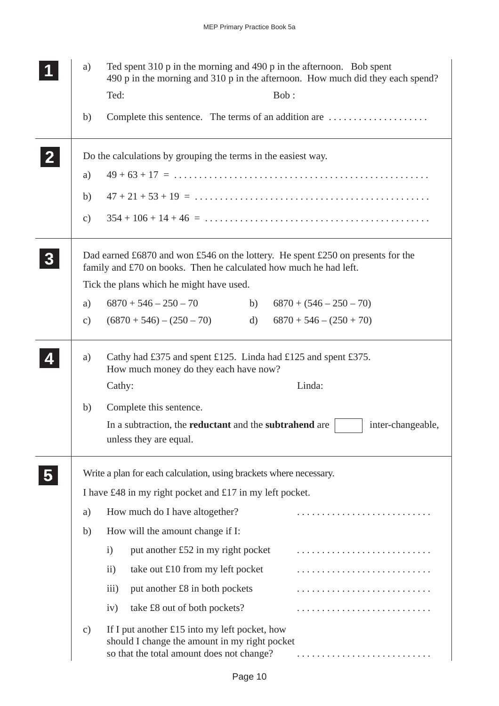| a)            | Ted spent $310$ p in the morning and $490$ p in the afternoon. Bob spent<br>490 p in the morning and 310 p in the afternoon. How much did they each spend? |
|---------------|------------------------------------------------------------------------------------------------------------------------------------------------------------|
|               | Ted:<br>Bob:                                                                                                                                               |
| b)            | Complete this sentence. The terms of an addition are                                                                                                       |
|               | Do the calculations by grouping the terms in the easiest way.                                                                                              |
| a)            |                                                                                                                                                            |
| b)            |                                                                                                                                                            |
| $\mathbf{c})$ |                                                                                                                                                            |
|               | Dad earned £6870 and won £546 on the lottery. He spent £250 on presents for the<br>family and $£70$ on books. Then he calculated how much he had left.     |
|               | Tick the plans which he might have used.                                                                                                                   |
| a)            | $6870 + 546 - 250 - 70$<br>b) $6870 + (546 - 250 - 70)$                                                                                                    |
| $\mathbf{c})$ | $(6870 + 546) - (250 - 70)$<br>$6870 + 546 - (250 + 70)$<br>$\mathbf{d}$                                                                                   |
| a)            | Cathy had £375 and spent £125. Linda had £125 and spent £375.<br>How much money do they each have now?                                                     |
|               | Linda:<br>Cathy:                                                                                                                                           |
| b)            | Complete this sentence.                                                                                                                                    |
|               | In a subtraction, the reductant and the subtrahend are<br>inter-changeable,<br>unless they are equal.                                                      |
|               | Write a plan for each calculation, using brackets where necessary.                                                                                         |
|               | I have £48 in my right pocket and £17 in my left pocket.                                                                                                   |
| a)            | How much do I have altogether?                                                                                                                             |
| b)            | How will the amount change if I:                                                                                                                           |
|               | put another £52 in my right pocket<br>$\mathbf{i}$                                                                                                         |
|               | take out £10 from my left pocket<br>$\overline{ii}$                                                                                                        |
|               | put another £8 in both pockets<br>$\overline{111}$ )<br>.                                                                                                  |
|               | take £8 out of both pockets?<br>iv)                                                                                                                        |
| $\mathbf{c})$ | If I put another $£15$ into my left pocket, how<br>should I change the amount in my right pocket<br>so that the total amount does not change?              |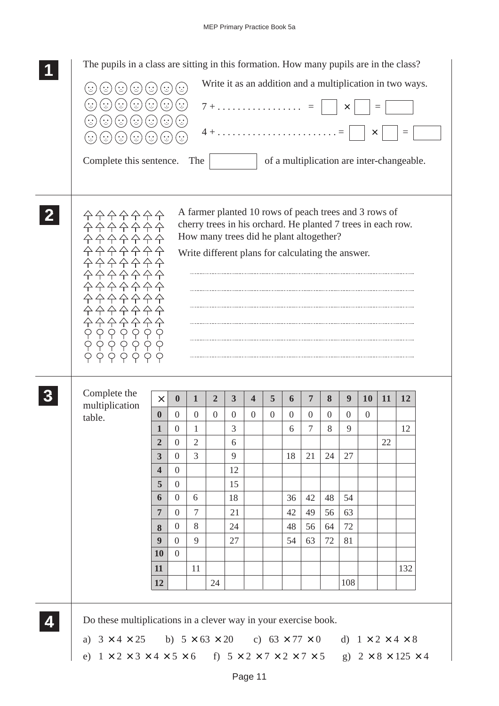| ∵<br>$\ddot{\circ}$<br>ి<br>Complete this sentence.                                                               | $[\mathbb{S}]$<br>$[\mathbb{C}]$<br>$\ddot{\circ}$<br>$ \mathbb{C} $ | $\left(\mathbb{S}\right)$<br>$\left[\cdot\right]$<br>$\left[\cdot\right]$ | The                            |                | $7 + \ldots + \ldots + \ldots =$<br>$4 + \ldots \ldots \ldots \ldots \ldots \ldots \ldots \ldots$                                                                                                                     |                         |          |                |                  |              | X                | ×              | $\!\!\!=\!\!\!\!$ | of a multiplication are inter-changeable. |
|-------------------------------------------------------------------------------------------------------------------|----------------------------------------------------------------------|---------------------------------------------------------------------------|--------------------------------|----------------|-----------------------------------------------------------------------------------------------------------------------------------------------------------------------------------------------------------------------|-------------------------|----------|----------------|------------------|--------------|------------------|----------------|-------------------|-------------------------------------------|
| 4444444<br><u> 수수수수수수</u><br><u> 수수수수수수</u><br>수수수수수수<br>수수수수수수<br>수수수수수수<br>수수수수수수<br>수수수수수수<br>수수수수수수<br>수수수수수수 |                                                                      |                                                                           |                                |                | A farmer planted 10 rows of peach trees and 3 rows of<br>cherry trees in his orchard. He planted 7 trees in each row.<br>How many trees did he plant altogether?<br>Write different plans for calculating the answer. |                         |          |                |                  |              |                  |                |                   |                                           |
| 999999                                                                                                            |                                                                      |                                                                           |                                |                |                                                                                                                                                                                                                       |                         |          |                |                  |              |                  |                |                   |                                           |
| Complete the                                                                                                      |                                                                      |                                                                           |                                |                |                                                                                                                                                                                                                       |                         |          |                |                  |              |                  |                |                   |                                           |
| multiplication                                                                                                    | $\times$                                                             | $\bf{0}$                                                                  | $\mathbf{1}$                   | $\overline{2}$ | 3                                                                                                                                                                                                                     | $\overline{\mathbf{4}}$ | 5        | 6              | 7                | 8            | $\boldsymbol{9}$ | <b>10</b>      | <b>11</b>         | <b>12</b>                                 |
| table.                                                                                                            | $\boldsymbol{0}$                                                     | $\theta$                                                                  | $\boldsymbol{0}$               | $\theta$       | $\mathbf{0}$                                                                                                                                                                                                          | $\overline{0}$          | $\theta$ | $\overline{0}$ | $\overline{0}$   | $\mathbf{0}$ | $\boldsymbol{0}$ | $\overline{0}$ |                   |                                           |
|                                                                                                                   | $\mathbf{1}$<br>$\overline{2}$                                       | $\boldsymbol{0}$<br>$\overline{0}$                                        | $\mathbf{1}$<br>$\overline{2}$ |                | 3<br>6                                                                                                                                                                                                                |                         |          | 6              | $\boldsymbol{7}$ | 8            | 9                |                | 22                | 12                                        |
|                                                                                                                   | 3                                                                    | $\overline{0}$                                                            | $\overline{3}$                 |                | 9                                                                                                                                                                                                                     |                         |          | 18             | 21               | 24           | 27               |                |                   |                                           |
|                                                                                                                   | $\overline{\mathbf{4}}$                                              | $\overline{0}$                                                            |                                |                | 12                                                                                                                                                                                                                    |                         |          |                |                  |              |                  |                |                   |                                           |
|                                                                                                                   | 5                                                                    | $\overline{0}$                                                            |                                |                | 15                                                                                                                                                                                                                    |                         |          |                |                  |              |                  |                |                   |                                           |
|                                                                                                                   | 6                                                                    | $\overline{0}$                                                            | 6                              |                | 18                                                                                                                                                                                                                    |                         |          | 36             | 42               | 48           | 54               |                |                   |                                           |
|                                                                                                                   | $\overline{7}$                                                       | $\overline{0}$                                                            | $\overline{7}$                 |                | 21                                                                                                                                                                                                                    |                         |          | 42             | 49               | 56           | 63               |                |                   |                                           |
|                                                                                                                   | 8                                                                    | $\mathbf{0}$                                                              | 8                              |                | 24                                                                                                                                                                                                                    |                         |          | 48             | 56               | 64           | 72               |                |                   |                                           |
|                                                                                                                   | 9                                                                    | $\overline{0}$<br>$\overline{0}$                                          | 9                              |                | 27                                                                                                                                                                                                                    |                         |          | 54             | 63               | 72           | 81               |                |                   |                                           |
|                                                                                                                   | 10                                                                   |                                                                           |                                |                |                                                                                                                                                                                                                       |                         |          |                |                  |              |                  |                |                   |                                           |
|                                                                                                                   | 11<br>12                                                             |                                                                           | 11                             | 24             |                                                                                                                                                                                                                       |                         |          |                |                  |              | 108              |                |                   | 132                                       |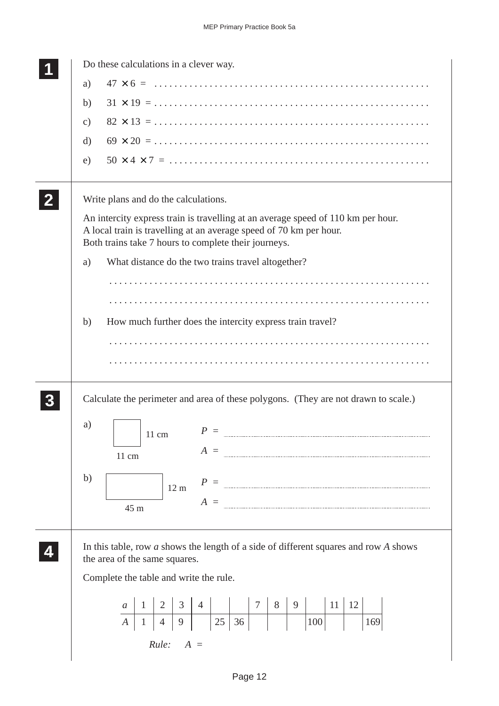| Do these calculations in a clever way.                                                                                     |
|----------------------------------------------------------------------------------------------------------------------------|
| a)                                                                                                                         |
| b)                                                                                                                         |
| $\mathbf{c})$                                                                                                              |
| d)                                                                                                                         |
| e)                                                                                                                         |
| Write plans and do the calculations.                                                                                       |
| An intercity express train is travelling at an average speed of 110 km per hour.                                           |
| A local train is travelling at an average speed of 70 km per hour.<br>Both trains take 7 hours to complete their journeys. |
| What distance do the two trains travel altogether?<br>a)                                                                   |
|                                                                                                                            |
|                                                                                                                            |
| How much further does the intercity express train travel?<br>b)                                                            |
|                                                                                                                            |
|                                                                                                                            |
|                                                                                                                            |
| Calculate the perimeter and area of these polygons. (They are not drawn to scale.)                                         |
| a)                                                                                                                         |
| $\boldsymbol{P}$<br>11 cm                                                                                                  |
| $A =$<br>11 cm                                                                                                             |
| b)<br>$P =$<br>12 <sub>m</sub>                                                                                             |
| $A =$<br>45 m                                                                                                              |
|                                                                                                                            |
| In this table, row $a$ shows the length of a side of different squares and row $A$ shows                                   |
| the area of the same squares.                                                                                              |
| Complete the table and write the rule.                                                                                     |
| 12<br>11<br>9<br>$\mathfrak a$                                                                                             |
| $\begin{array}{c c c c c c c c} \hline 4 & 7 & 8 \\ \hline & 25 & 36 & \end{array}$<br>9<br>$ 100\rangle$<br>169           |
| $Rule: A =$                                                                                                                |
|                                                                                                                            |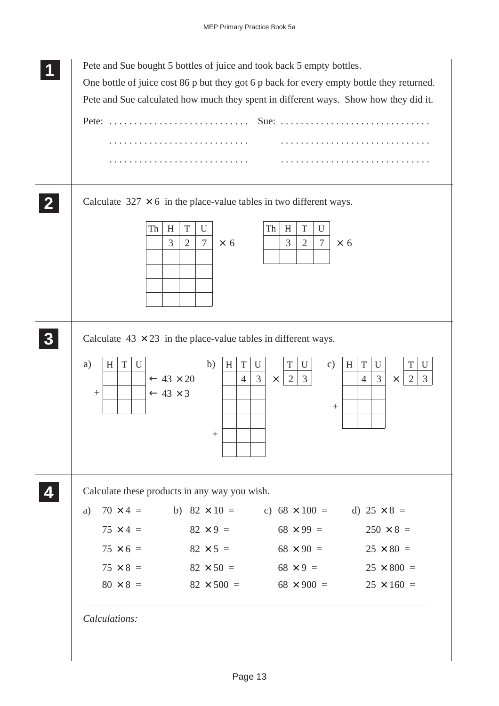| .                                                                                                                                                                                                                                                                                                                                                                                                                                                                        |
|--------------------------------------------------------------------------------------------------------------------------------------------------------------------------------------------------------------------------------------------------------------------------------------------------------------------------------------------------------------------------------------------------------------------------------------------------------------------------|
| Calculate $327 \times 6$ in the place-value tables in two different ways.<br>Th<br>$\mathbf T$<br>$\mathbf U$<br>Th<br>$\mathbf T$<br>H<br>H<br>U<br>3<br>$\tau$<br>3<br>$\overline{2}$<br>$\tau$<br>$\overline{2}$<br>$\times$ 6<br>$\times$ 6                                                                                                                                                                                                                          |
| Calculate $43 \times 23$ in the place-value tables in different ways.<br>T<br>$\mathbf{c})$<br>H<br>$\mathbf T$<br>$\mathbf U$<br>b)<br>$\mathbf T$<br>a)<br>H<br>U<br>T<br>H<br>T<br>U<br>U<br>U<br>$\overline{2}$<br>$\mathfrak{Z}$<br>$\overline{2}$<br>3<br>$\mathfrak{Z}$<br>3<br>$\leftarrow$ 43 $\times$ 20<br>$\overline{4}$<br>$\overline{4}$<br>$\times$<br>$\times$<br>$\leftarrow$ 43 $\times$ 3<br>$^{+}$<br>$^{+}$<br>$^{+}$                               |
| Calculate these products in any way you wish.<br>$70 \times 4 =$<br>b) $82 \times 10 =$<br>c) $68 \times 100 =$<br>d) $25 \times 8 =$<br>a)<br>$75 \times 4 =$<br>$82 \times 9 =$<br>$68 \times 99 =$<br>$250 \times 8 =$<br>$82 \times 5 =$<br>$68 \times 90 =$<br>$25 \times 80 =$<br>$75 \times 6 =$<br>$75 \times 8 =$<br>$82 \times 50 =$<br>$68 \times 9 =$<br>$25 \times 800 =$<br>$80 \times 8 =$<br>$82 \times 500 =$<br>$68 \times 900 =$<br>$25 \times 160 =$ |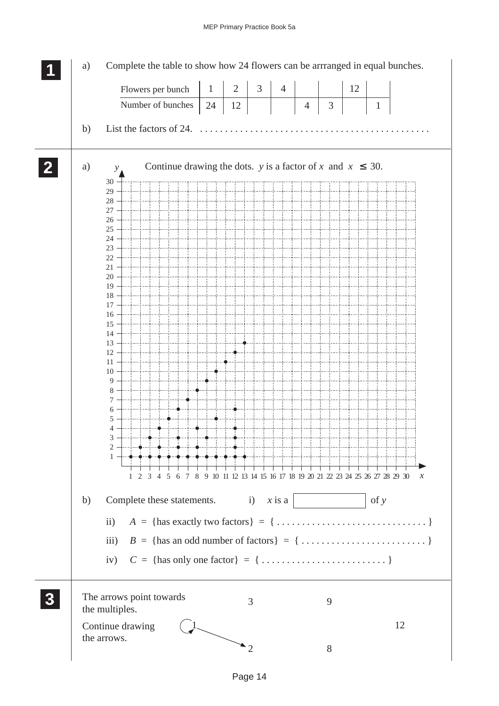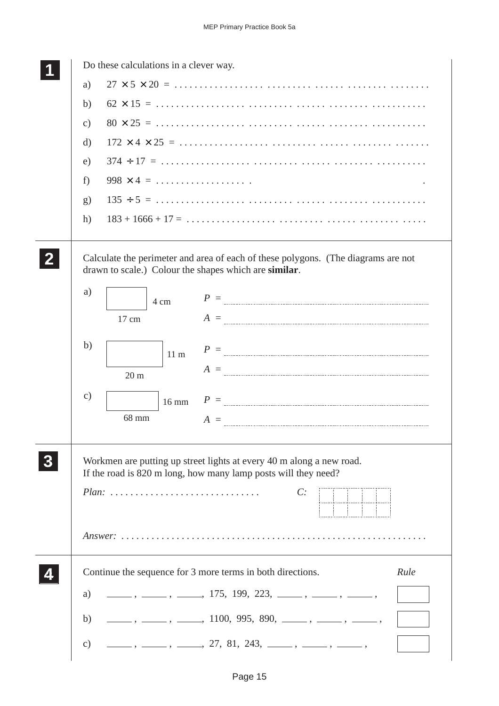| Do these calculations in a clever way.                                                                                                                                                                                                                                                                                                                                                                                                  |
|-----------------------------------------------------------------------------------------------------------------------------------------------------------------------------------------------------------------------------------------------------------------------------------------------------------------------------------------------------------------------------------------------------------------------------------------|
| a)                                                                                                                                                                                                                                                                                                                                                                                                                                      |
| b)                                                                                                                                                                                                                                                                                                                                                                                                                                      |
| c)                                                                                                                                                                                                                                                                                                                                                                                                                                      |
| $\mathrm{d}$                                                                                                                                                                                                                                                                                                                                                                                                                            |
| e)                                                                                                                                                                                                                                                                                                                                                                                                                                      |
| f<br>$998 \times 4 = \dots \dots \dots \dots \dots \dots$                                                                                                                                                                                                                                                                                                                                                                               |
| g)                                                                                                                                                                                                                                                                                                                                                                                                                                      |
| h)                                                                                                                                                                                                                                                                                                                                                                                                                                      |
| Calculate the perimeter and area of each of these polygons. (The diagrams are not<br>drawn to scale.) Colour the shapes which are similar.                                                                                                                                                                                                                                                                                              |
| a)<br>$P =$<br>4 cm                                                                                                                                                                                                                                                                                                                                                                                                                     |
| 17 cm<br>$A =$                                                                                                                                                                                                                                                                                                                                                                                                                          |
|                                                                                                                                                                                                                                                                                                                                                                                                                                         |
| b)<br>$P =$<br>11 <sub>m</sub>                                                                                                                                                                                                                                                                                                                                                                                                          |
| $A =$<br>20 <sub>m</sub>                                                                                                                                                                                                                                                                                                                                                                                                                |
| $\mathbf{c})$<br>$P =$<br>$16 \text{ mm}$                                                                                                                                                                                                                                                                                                                                                                                               |
| 68 mm<br>$A =$                                                                                                                                                                                                                                                                                                                                                                                                                          |
|                                                                                                                                                                                                                                                                                                                                                                                                                                         |
| Workmen are putting up street lights at every 40 m along a new road.<br>If the road is 820 m long, how many lamp posts will they need?<br>$Plan:$<br>C:                                                                                                                                                                                                                                                                                 |
|                                                                                                                                                                                                                                                                                                                                                                                                                                         |
|                                                                                                                                                                                                                                                                                                                                                                                                                                         |
| Continue the sequence for 3 more terms in both directions.<br>Rule                                                                                                                                                                                                                                                                                                                                                                      |
| $\frac{1}{1}, \frac{1}{1}, \frac{1}{1}, \frac{1}{1}, \frac{1}{1}, \frac{1}{1}, \frac{1}{1}, \frac{1}{1}, \frac{1}{1}, \frac{1}{1}, \frac{1}{1}, \frac{1}{1}, \frac{1}{1}, \frac{1}{1}, \frac{1}{1}, \frac{1}{1}, \frac{1}{1}, \frac{1}{1}, \frac{1}{1}, \frac{1}{1}, \frac{1}{1}, \frac{1}{1}, \frac{1}{1}, \frac{1}{1}, \frac{1}{1}, \frac{1}{1}, \frac{1}{1}, \frac{1}{1}, \frac{1}{1}, \frac{1}{1}, \frac{1}{1}, \frac{$<br>a)       |
| b)                                                                                                                                                                                                                                                                                                                                                                                                                                      |
| $\frac{1}{1}, \frac{1}{1}, \frac{1}{1}, \frac{1}{1}, \frac{27}{1}, \frac{81}{1}, \frac{243}{1}, \frac{1}{1}, \frac{1}{1}, \frac{1}{1}, \frac{1}{1}, \frac{1}{1}, \frac{1}{1}, \frac{1}{1}, \frac{1}{1}, \frac{1}{1}, \frac{1}{1}, \frac{1}{1}, \frac{1}{1}, \frac{1}{1}, \frac{1}{1}, \frac{1}{1}, \frac{1}{1}, \frac{1}{1}, \frac{1}{1}, \frac{1}{1}, \frac{1}{1}, \frac{1}{1}, \frac{1}{1}, \frac{1}{1}, \frac{1}{1$<br>$\mathbf{c})$ |
|                                                                                                                                                                                                                                                                                                                                                                                                                                         |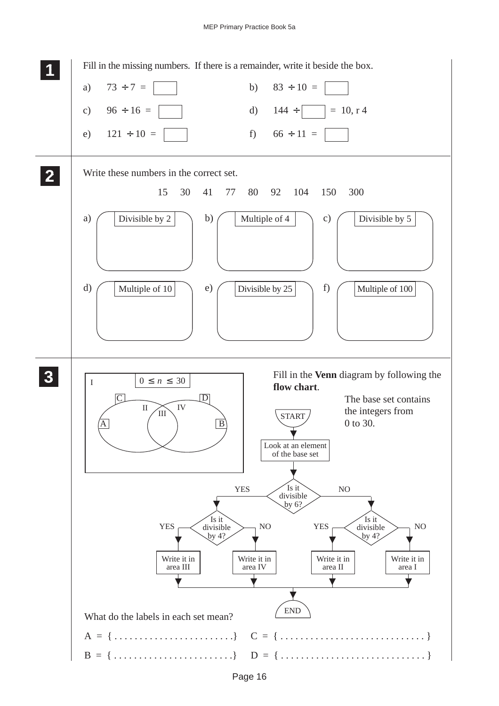## MEP Primary Practice Book 5a

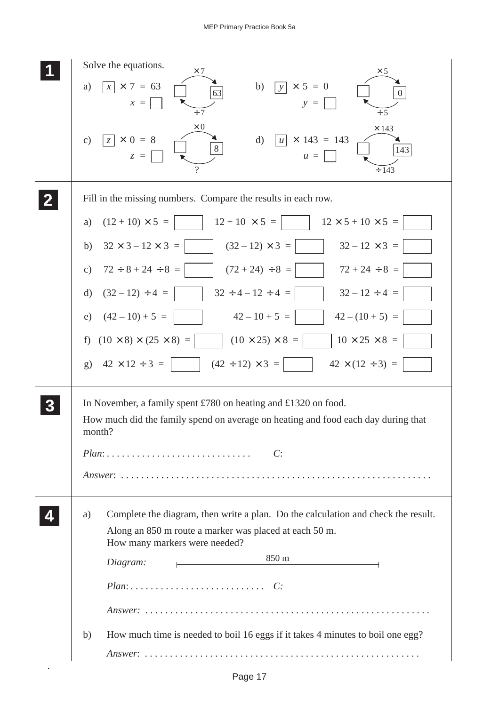## MEP Primary Practice Book 5a

|                  | Solve the equations.<br>$\times$ 5<br>$\times$ 7                                                                                                              |
|------------------|---------------------------------------------------------------------------------------------------------------------------------------------------------------|
|                  | $y \times 5 = 0$<br>$x \mid \times 7 = 63$<br>b)<br>a)<br>63<br>$\Omega$<br>$x =$<br>$y =$<br>$\div$ 7<br>$\div$ 5                                            |
|                  | $\times 0$<br>$\times$ 143<br>$ z  \times 0 = 8$<br>$ u  \times 143 = 143$<br>c)<br>d)<br>8<br>143<br>$z =$<br>$u =$<br>$\gamma$<br>$\div$ 143                |
|                  | Fill in the missing numbers. Compare the results in each row.                                                                                                 |
|                  | a) $(12 + 10) \times 5 =$<br>$12 + 10 \times 5 =$<br>$12 \times 5 + 10 \times 5 =$                                                                            |
|                  | $32 - 12 \times 3 =$<br>b) $32 \times 3 - 12 \times 3 =$<br>$(32 - 12) \times 3 =$                                                                            |
|                  | c) $72 \div 8 + 24 \div 8 =$<br>$72 + 24 \div 8 =$<br>$(72 + 24) \div 8 =$                                                                                    |
|                  | $32 \div 4 - 12 \div 4 =$<br>d) $(32-12) \div 4 =$<br>$32 - 12 \div 4 =$                                                                                      |
|                  | e) $(42-10)+5=$<br>$42 - 10 + 5 =$<br>$42 - (10 + 5) =$                                                                                                       |
|                  | $10 \times 25 \times 8 =$<br>$(10 \times 25) \times 8 =$<br>f) $(10 \times 8) \times (25 \times 8) =$                                                         |
|                  | $42 \times 12 \div 3 =$<br>$(42 \div 12) \times 3 =$<br>$42 \times (12 \div 3) =$<br>g)                                                                       |
| $\boldsymbol{3}$ | In November, a family spent £780 on heating and £1320 on food.<br>How much did the family spend on average on heating and food each day during that<br>month? |
|                  | C:<br>$Plan: \ldots \ldots \ldots \ldots \ldots \ldots \ldots \ldots \ldots$                                                                                  |
|                  |                                                                                                                                                               |
|                  | Complete the diagram, then write a plan. Do the calculation and check the result.<br>a)                                                                       |
|                  | Along an 850 m route a marker was placed at each 50 m.<br>How many markers were needed?                                                                       |
|                  | 850 m<br>Diagram:                                                                                                                                             |
|                  | $Plan: \ldots \ldots \ldots \ldots \ldots \ldots \ldots \ldots \ldots C$                                                                                      |
|                  |                                                                                                                                                               |
|                  | How much time is needed to boil 16 eggs if it takes 4 minutes to boil one egg?<br>b)                                                                          |
|                  |                                                                                                                                                               |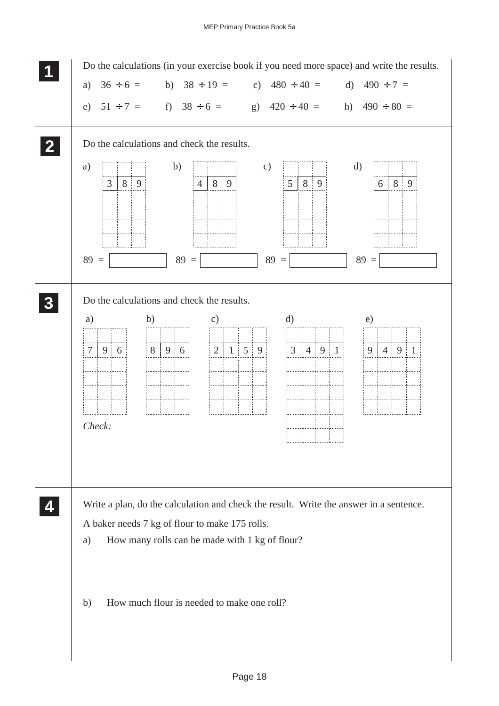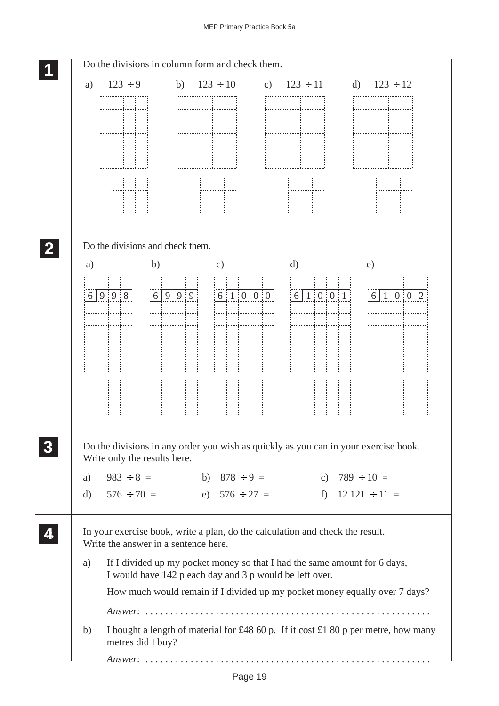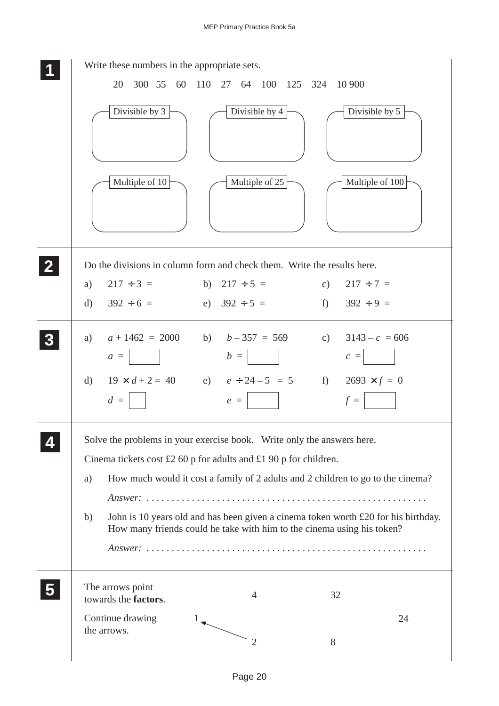|   | Write these numbers in the appropriate sets.                                                                                                                          |
|---|-----------------------------------------------------------------------------------------------------------------------------------------------------------------------|
|   | 110 27 64 100<br>20<br>300 55<br>60<br>125 324<br>10 900<br>Divisible by 3<br>Divisible by 4<br>Divisible by 5<br>Multiple of 10<br>Multiple of 25<br>Multiple of 100 |
| 2 | Do the divisions in column form and check them. Write the results here.                                                                                               |
|   | $217 \div 3 =$<br>b) $217 \div 5 =$<br>c)<br>$217 \div 7 =$<br>a)                                                                                                     |
|   | $f$ )<br>$392 \div 9 =$<br>$392 \div 6 =$<br>e) $392 \div 5 =$<br>d)                                                                                                  |
|   | $a + 1462 = 2000$<br>b) $b-357 = 569$ c)<br>$3143 - c = 606$<br>a)<br>$b =$<br>$a =$<br>$c =$                                                                         |
|   | e) $e \div 24 - 5 = 5$ f) $2693 \times f = 0$<br>$19 \times d + 2 = 40$<br>$\mathbf{d}$<br>$d =$<br>$f =$<br>$e =$                                                    |
|   | Solve the problems in your exercise book. Write only the answers here.<br>Cinema tickets cost £2 60 p for adults and £1 90 p for children.                            |
|   | How much would it cost a family of 2 adults and 2 children to go to the cinema?<br>a)                                                                                 |
|   |                                                                                                                                                                       |
|   | John is 10 years old and has been given a cinema token worth £20 for his birthday.<br>b)<br>How many friends could he take with him to the cinema using his token?    |
|   |                                                                                                                                                                       |
|   | The arrows point<br>$\overline{4}$<br>32<br>towards the factors.                                                                                                      |
|   | Continue drawing<br>24<br>$\sim$                                                                                                                                      |
|   | the arrows.<br>$\overline{2}$<br>8                                                                                                                                    |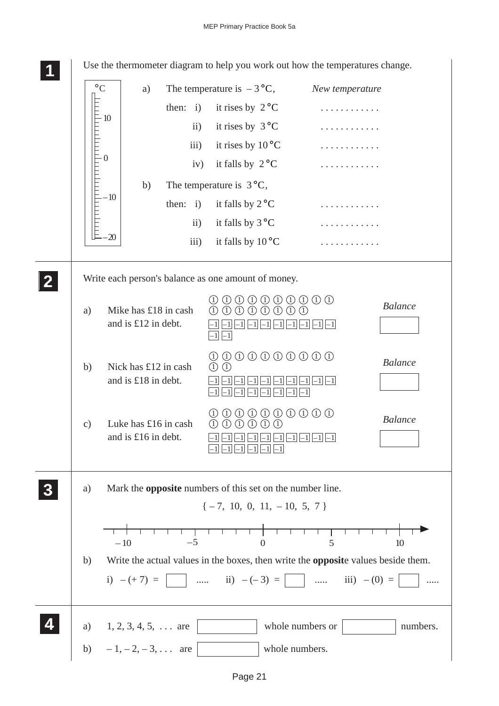|              |               |                                               | Use the thermometer diagram to help you work out how the temperatures change.                                                                                  |                                                                                                                                                                                                                                                                                                                                                                                                                                                                                                       |                |
|--------------|---------------|-----------------------------------------------|----------------------------------------------------------------------------------------------------------------------------------------------------------------|-------------------------------------------------------------------------------------------------------------------------------------------------------------------------------------------------------------------------------------------------------------------------------------------------------------------------------------------------------------------------------------------------------------------------------------------------------------------------------------------------------|----------------|
|              | $\circ$ C     | a)                                            | The temperature is $-3^{\circ}C$ ,                                                                                                                             | New temperature                                                                                                                                                                                                                                                                                                                                                                                                                                                                                       |                |
|              |               | then: $i)$                                    | it rises by $2^{\circ}C$                                                                                                                                       |                                                                                                                                                                                                                                                                                                                                                                                                                                                                                                       |                |
|              | $-10$         |                                               | it rises by $3^{\circ}C$<br>$\overline{ii}$ )                                                                                                                  |                                                                                                                                                                                                                                                                                                                                                                                                                                                                                                       |                |
|              |               |                                               | it rises by $10^{\circ}$ C<br>iii)                                                                                                                             |                                                                                                                                                                                                                                                                                                                                                                                                                                                                                                       |                |
|              | $\Box$        |                                               | it falls by $2^{\circ}C$<br>iv)                                                                                                                                |                                                                                                                                                                                                                                                                                                                                                                                                                                                                                                       |                |
|              |               | b)                                            | The temperature is $3^{\circ}C$ ,                                                                                                                              |                                                                                                                                                                                                                                                                                                                                                                                                                                                                                                       |                |
|              | $-10$         | then: $i)$                                    | it falls by $2^{\circ}C$                                                                                                                                       | .                                                                                                                                                                                                                                                                                                                                                                                                                                                                                                     |                |
|              |               |                                               | it falls by $3^{\circ}$ C<br>$\ddot{\text{11}})$                                                                                                               |                                                                                                                                                                                                                                                                                                                                                                                                                                                                                                       |                |
|              | $-20$         |                                               | it falls by $10^{\circ}$ C<br>$\overline{111}$ )                                                                                                               |                                                                                                                                                                                                                                                                                                                                                                                                                                                                                                       |                |
| $\mathbf{2}$ |               |                                               | Write each person's balance as one amount of money.                                                                                                            |                                                                                                                                                                                                                                                                                                                                                                                                                                                                                                       |                |
|              | a)            | Mike has $£18$ in cash<br>and is £12 in debt. | (1)<br>(1)<br>(1)<br>(1)<br>(1)<br>$-1$<br>$-1$ l<br>$-1$<br>$ -1  - 1 $                                                                                       | $\textcircled{1} \textcircled{1} \textcircled{1} \textcircled{1} \textcircled{1} \textcircled{1}$<br>(1)<br>(1)<br>$-1$   $-1$  <br>$ -1 $<br>$ -1 $                                                                                                                                                                                                                                                                                                                                                  | <b>Balance</b> |
|              | b)            | Nick has $£12$ in cash<br>and is £18 in debt. | $\textcircled{\scriptsize{1}}$<br>$\left( \frac{1}{2} \right)$<br>$\Omega$<br>$\textcircled{1}$                                                                | $\begin{array}{ccccccccccccc} \text{(1)} & \text{(1)} & \text{(1)} & \text{(1)} & \text{(1)} & \text{(1)} & \text{(1)} & \text{(1)} & \text{(1)} & \text{(1)} & \text{(1)} & \text{(1)} & \text{(1)} & \text{(1)} & \text{(1)} & \text{(1)} & \text{(1)} & \text{(1)} & \text{(1)} & \text{(1)} & \text{(1)} & \text{(1)} & \text{(1)} & \text{(1)} & \text{(1)} & \text{(1)} & \text{(1)} & \text{(1)} & \text{(1)} & \text{(1)} & \text{(1)} & \text{(1)} & \text{(1)} & \text{(1)} & \text{(1)} &$ | <b>Balance</b> |
|              | $\mathbf{c})$ | Luke has $£16$ in cash<br>and is £16 in debt. | $\bigcirc$<br>$\textcircled{\scriptsize{1}}$<br>(1)<br>$\textcircled{1} \textcircled{1} \textcircled{1} \textcircled{1} \textcircled{1}$<br>$\bigcirc$         | $\bigcirc$<br>$(1)$ $(1)$ $(1)$<br>$-1$ $ -1$ $ -1$ $ -1$                                                                                                                                                                                                                                                                                                                                                                                                                                             | <b>Balance</b> |
|              | a)            |                                               | Mark the <b>opposite</b> numbers of this set on the number line.<br>$\{-7, 10, 0, 11, -10, 5, 7\}$                                                             |                                                                                                                                                                                                                                                                                                                                                                                                                                                                                                       |                |
|              | b)            | $-5$<br>$-10$                                 | $\overline{0}$<br>Write the actual values in the boxes, then write the <b>opposite</b> values beside them.<br>i) $-(+7) =$   , ii) $-(-3) =$   , iii) $-(0) =$ | 5                                                                                                                                                                                                                                                                                                                                                                                                                                                                                                     | 10             |
|              |               | a) 1, 2, 3, 4, 5,  are                        |                                                                                                                                                                | whole numbers or                                                                                                                                                                                                                                                                                                                                                                                                                                                                                      | numbers.       |
|              |               | b) $-1, -2, -3, \ldots$ are                   |                                                                                                                                                                | whole numbers.                                                                                                                                                                                                                                                                                                                                                                                                                                                                                        |                |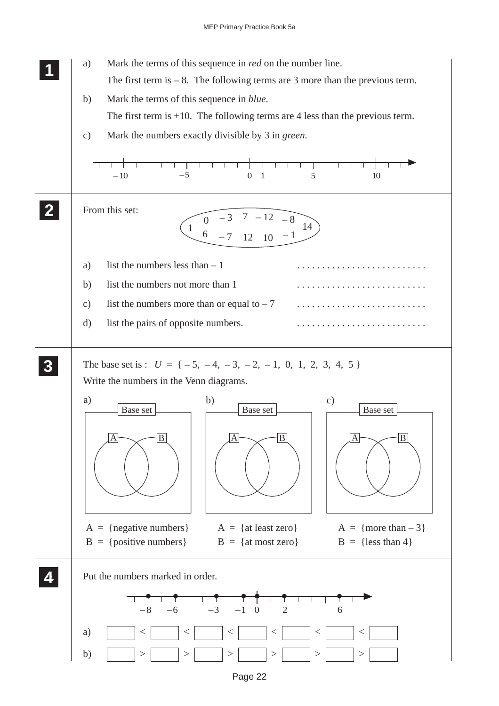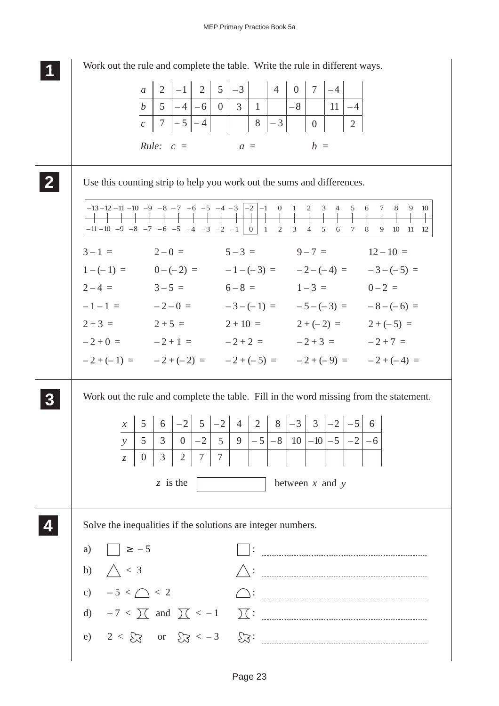**1 11** Work out the rule and complete the table. Write the rule in different ways. Use this counting strip to help you work out the sums and differences.  $3-1 = 2-0 = 5-3 = 9-7 = 12-10 =$  $1 - (-1) = 0 - (-2) = -1 - (-3) = -2 - (-4) = -3 - (-5) =$  $2-4 = 3-5 = 6-8 = 1-3 = 0-2 =$  $-1 - 1 = -2 - 0 = -3 - (-1) = -5 - (-3) = -8 - (-6) =$  $2+3 = 2+5 = 2+10 = 2+(-2) = 2+(-5) =$  $-2+0$  =  $-2+1$  =  $-2+2$  =  $-2+3$  =  $-2+7$  =  $-2 + (-1) = -2 + (-2) = -2 + (-5) = -2 + (-9) = -2 + (-4) =$ Work out the rule and complete the table. Fill in the word missing from the statement. Solve the inequalities if the solutions are integer numbers. *b c*  $5$   $\begin{vmatrix} -4 & -6 & 0 & 3 & 1 \end{vmatrix}$   $\begin{vmatrix} -8 & -8 \end{vmatrix}$  $\boldsymbol{0}$ 11 8 3  $7 \mid -5 \mid -4$ *Rule: c =*  $a$  | 2 | -1 | 2 | 5 – 4 – 3 1 – 3  $4 \mid 0 \mid 7 \mid -4$ – 4 2  $a = b =$ **2 22 22 3 33 33 33 4 44 44** *y z*  $5 \mid 3 \mid 0 \mid -2 \mid 5 \mid 9 \mid -5 \mid -8 \mid 10 \mid -10 \mid -5$  $0$  | 3 | 2  $x \mid 5 \mid 6 \mid -2 \mid 5$ 3  $^{-2}$  $8 \mid -3$  $\overline{7}$ 4  $^{-2}$  $^{-2}$ – 5 – 6 6 *z* is the **between** *x* and *y* a)  $\boxed{\phantom{0}} \geq -5$   $\boxed{\phantom{0}}$  :  $\boxed{\phantom{0}}$  :  $\boxed{\phantom{0}}$ b)  $\bigwedge$  < 3  $\bigtriangleup$ :  $\bigtriangleup$ c)  $-5 < \bigcirc$   $< 2$   $\bigcirc$  : d)  $-7 < \overline{) \, (}$  and  $\overline{) \, (} < -1$   $\overline{) \, (}$ : e)  $2 < \frac{1}{2}$  or  $\frac{1}{2} < -3$   $\frac{1}{2}$ :  $-8$   $-7$   $-6$   $-5$   $-4$   $-3$   $-2$   $-1$  | 0 | 1 2 3 4 5 6 7 8  $-10$   $-9$   $-8$   $-7$   $-6$   $-5$   $-4$   $-3$   $|-2$   $|-1$  0 1 2 3 4 5 – 9  $-11$   $-10$   $-9$   $-8$   $-7$   $-6$   $-5$   $-4$   $-3$   $|-2$   $|-1$  0 1 2 3 4 5 6 9 10 12 11  $9 \t10$  $-11 - 10$  $-13 - 12$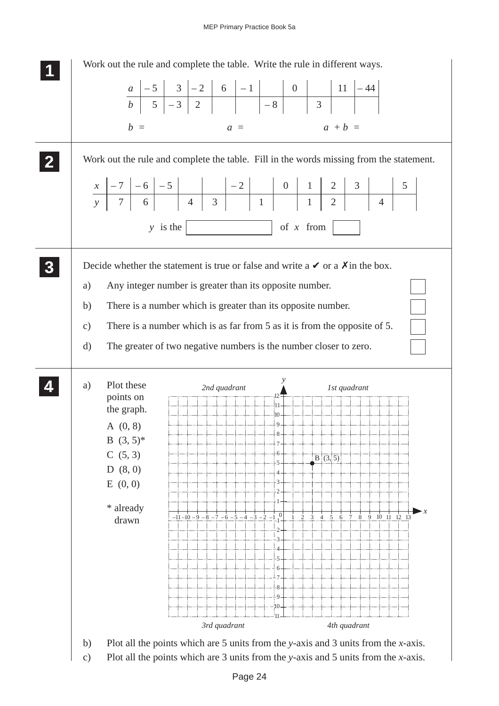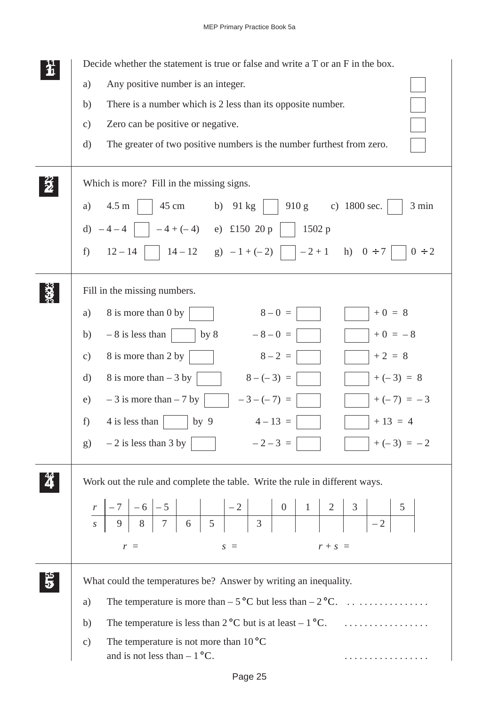| Decide whether the statement is true or false and write a T or an F in the box.                                                                                      |
|----------------------------------------------------------------------------------------------------------------------------------------------------------------------|
| Any positive number is an integer.<br>a)                                                                                                                             |
| There is a number which is 2 less than its opposite number.<br>b)                                                                                                    |
| Zero can be positive or negative.<br>$\mathbf{c})$                                                                                                                   |
| The greater of two positive numbers is the number furthest from zero.<br>$\mathbf{d}$                                                                                |
| Which is more? Fill in the missing signs.                                                                                                                            |
| $4.5 \text{ m}$<br>45 cm<br>910 g c) 1800 sec.<br>3 min<br>b) $91 \text{ kg}$<br>a)                                                                                  |
| d) $-4-4$   $-4+(-4)$ e) £150 20 p<br>1502 p                                                                                                                         |
| $\begin{vmatrix} 14-12 & g \end{vmatrix}$ - 1+(-2) $\begin{vmatrix} -2+1 & h \end{vmatrix}$ 0 ÷ 7 $\begin{vmatrix} 0 & -2 \\ 1 & -2 \end{vmatrix}$<br>$12 - 14$<br>f |
| Fill in the missing numbers.                                                                                                                                         |
| $8 - 0 =$<br>$+0 = 8$<br>8 is more than 0 by<br>a)                                                                                                                   |
| $-8 - 0 =$<br>$+0 = -8$<br>$-8$ is less than<br>by $8$<br>b)                                                                                                         |
| $8 - 2 =$<br>$+2 = 8$<br>8 is more than 2 by<br>$\mathbf{c})$                                                                                                        |
| $8 - (-3) =$<br>8 is more than $-3$ by<br>$+(-3) = 8$<br>$\mathbf{d}$                                                                                                |
| $-3$ is more than $-7$ by<br>$-3-(-7) =$<br>$+(-7) = -3$<br>e)                                                                                                       |
| $4 - 13 =$<br>$+13 = 4$<br>$4$ is less than<br>  by 9<br>f)                                                                                                          |
| g) $-2$ is less than 3 by                                                                                                                                            |
|                                                                                                                                                                      |
| Work out the rule and complete the table. Write the rule in different ways.                                                                                          |
|                                                                                                                                                                      |
|                                                                                                                                                                      |
| $S =$<br>$r + s =$<br>$r =$                                                                                                                                          |
| What could the temperatures be? Answer by writing an inequality.                                                                                                     |
| The temperature is more than $-5^{\circ}$ C but less than $-2^{\circ}$ C.<br>a)                                                                                      |
| The temperature is less than $2^{\circ}C$ but is at least $-1^{\circ}C$ .<br>b)                                                                                      |
| The temperature is not more than $10^{\circ}$ C<br>$\mathbf{c})$                                                                                                     |
| and is not less than $-1$ °C.                                                                                                                                        |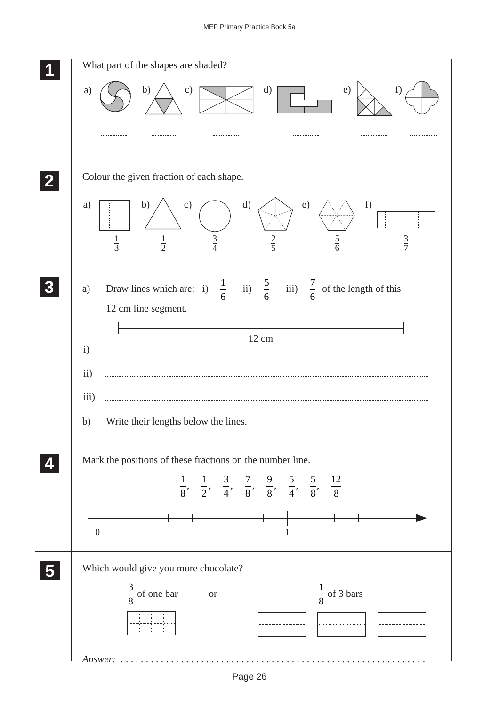| What part of the shapes are shaded?                                                                                                       |  |  |  |  |  |
|-------------------------------------------------------------------------------------------------------------------------------------------|--|--|--|--|--|
| b)<br>$\mathbf{d}$<br>e)<br>f<br>$\mathbf{c})$<br>a)                                                                                      |  |  |  |  |  |
| <br>                                                                                                                                      |  |  |  |  |  |
| Colour the given fraction of each shape.                                                                                                  |  |  |  |  |  |
| d)<br>f)<br>b)<br>e)<br>$\mathbf{c})$<br>a)<br>$rac{3}{7}$<br>$rac{2}{5}$<br>$rac{5}{6}$<br>$rac{3}{4}$<br>$\frac{1}{3}$<br>$\frac{1}{2}$ |  |  |  |  |  |
| ii) $\frac{5}{6}$ iii) $\frac{7}{6}$ of the length of this<br>$rac{1}{6}$<br>Draw lines which are: i)<br>a)<br>12 cm line segment.        |  |  |  |  |  |
| 12 cm<br>$\mathbf{i}$                                                                                                                     |  |  |  |  |  |
|                                                                                                                                           |  |  |  |  |  |
| $\overline{iii}$ )<br>Write their lengths below the lines.<br>b)                                                                          |  |  |  |  |  |
| Mark the positions of these fractions on the number line.                                                                                 |  |  |  |  |  |
| $\frac{1}{8}$ , $\frac{1}{2}$ , $\frac{3}{4}$ , $\frac{7}{8}$ , $\frac{9}{8}$ , $\frac{5}{4}$ , $\frac{5}{8}$ , $\frac{12}{8}$            |  |  |  |  |  |
| + + + + + + + + + +<br>$\mathbf{1}$<br>$\boldsymbol{0}$                                                                                   |  |  |  |  |  |
| Which would give you more chocolate?<br>$\frac{3}{8}$ of one bar<br>$\frac{1}{8}$ of 3 bars<br><b>or</b><br>Answer:                       |  |  |  |  |  |
|                                                                                                                                           |  |  |  |  |  |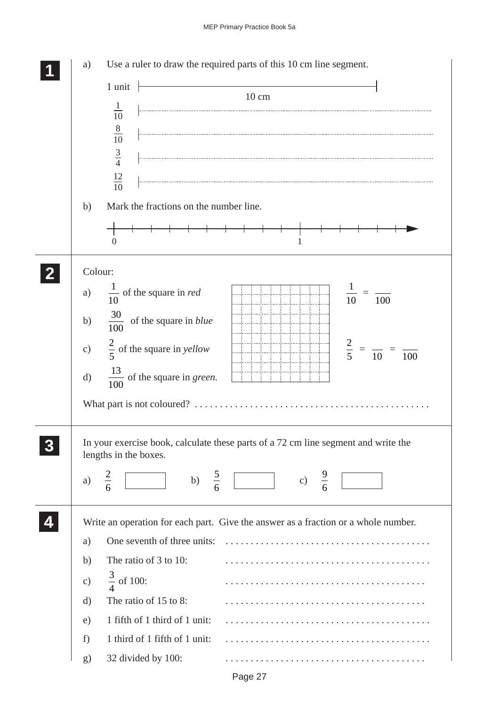| a)                                           | Use a ruler to draw the required parts of this 10 cm line segment.                                                                                                                                                                                                                                   |  |  |  |  |
|----------------------------------------------|------------------------------------------------------------------------------------------------------------------------------------------------------------------------------------------------------------------------------------------------------------------------------------------------------|--|--|--|--|
|                                              | 1 unit                                                                                                                                                                                                                                                                                               |  |  |  |  |
|                                              | 10 cm<br>$\frac{1}{10}$<br>$\frac{8}{10}$<br>$rac{3}{4}$<br>$\frac{12}{10}$                                                                                                                                                                                                                          |  |  |  |  |
| Mark the fractions on the number line.<br>b) |                                                                                                                                                                                                                                                                                                      |  |  |  |  |
|                                              |                                                                                                                                                                                                                                                                                                      |  |  |  |  |
| Colour:<br>a)<br>b)<br>d)                    | $\frac{1}{10}$ of the square in <i>red</i><br>$\frac{1}{10}$ =<br>$\overline{100}$<br>$\frac{30}{100}$ of the square in <i>blue</i><br>c) $\frac{2}{5}$ of the square in <i>yellow</i><br>$\frac{2}{5}$ =<br>$\overline{10}$<br>100<br>$\frac{13}{100}$ of the square in <i>green</i> .              |  |  |  |  |
| a)                                           | In your exercise book, calculate these parts of a 72 cm line segment and write the<br>lengths in the boxes.<br>$\frac{2}{6}$<br>$\frac{9}{6}$<br>$\frac{5}{6}$<br>b)<br>c)                                                                                                                           |  |  |  |  |
| a)<br>b)<br>$\mathbf{c})$<br>d)<br>e)<br>f)  | Write an operation for each part. Give the answer as a fraction or a whole number.<br>One seventh of three units:<br>The ratio of 3 to 10:<br>$\frac{3}{4}$ of 100:<br>The ratio of 15 to 8:<br>1 fifth of 1 third of 1 unit:<br>. <b>.</b> .<br>1 third of 1 fifth of 1 unit:<br>32 divided by 100: |  |  |  |  |
| g)                                           |                                                                                                                                                                                                                                                                                                      |  |  |  |  |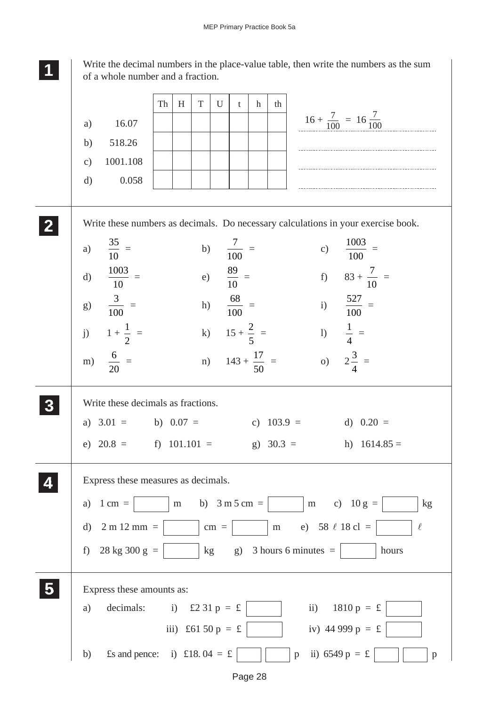**1 11**

Write the decimal numbers in the place-value table, then write the numbers as the sum of a whole number and a fraction.

|  |                                                                                                                                                                                                                                                                  | T<br>Th<br>H                | U<br>h<br>th<br>t                |                                             |  |  |
|--|------------------------------------------------------------------------------------------------------------------------------------------------------------------------------------------------------------------------------------------------------------------|-----------------------------|----------------------------------|---------------------------------------------|--|--|
|  | 16.07<br>a)                                                                                                                                                                                                                                                      |                             |                                  | $16 + \frac{7}{100} = 16 \frac{7}{100}$     |  |  |
|  | 518.26<br>b)                                                                                                                                                                                                                                                     |                             |                                  |                                             |  |  |
|  | 1001.108<br>$\mathbf{c})$                                                                                                                                                                                                                                        |                             |                                  |                                             |  |  |
|  | 0.058<br>$\mathbf{d}$                                                                                                                                                                                                                                            |                             |                                  |                                             |  |  |
|  |                                                                                                                                                                                                                                                                  |                             |                                  |                                             |  |  |
|  | Write these numbers as decimals. Do necessary calculations in your exercise book.                                                                                                                                                                                |                             |                                  |                                             |  |  |
|  | a) $\frac{35}{10}$ =                                                                                                                                                                                                                                             |                             | b) $\frac{7}{100}$ =             | c) $\frac{1003}{100}$ =                     |  |  |
|  | $\frac{1003}{10}$ =<br>$\mathrm{d}$                                                                                                                                                                                                                              |                             | e) $\frac{89}{10}$ =             | f) $83 + \frac{7}{10}$ =                    |  |  |
|  | g) $\frac{3}{100}$ =                                                                                                                                                                                                                                             |                             | h) $\frac{68}{100}$ =            | i) $\frac{527}{100}$ =                      |  |  |
|  | j) $1 + \frac{1}{2} =$                                                                                                                                                                                                                                           |                             | k) $15 + \frac{2}{5} =$          | 1) $\frac{1}{4}$ =                          |  |  |
|  | m) $\frac{6}{20}$ =                                                                                                                                                                                                                                              |                             | n) $143 + \frac{17}{50}$ =       | (o) $2\frac{3}{4}$ =                        |  |  |
|  | Write these decimals as fractions.                                                                                                                                                                                                                               |                             |                                  |                                             |  |  |
|  | a) $3.01 =$ b) $0.07 =$                                                                                                                                                                                                                                          |                             | c) $103.9 =$                     | d) $0.20 =$                                 |  |  |
|  | e) $20.8 =$ f) $101.101 =$                                                                                                                                                                                                                                       |                             | g) $30.3 =$                      | h) $1614.85 =$                              |  |  |
|  | Express these measures as decimals.                                                                                                                                                                                                                              |                             |                                  |                                             |  |  |
|  | a) $1 \text{ cm} =$<br>$\begin{vmatrix} m & b \end{vmatrix}$ 3 m 5 cm =<br>$\begin{vmatrix} m & c \end{vmatrix}$ 10 g =<br>kg<br>d) $2 \text{ m } 12 \text{ mm } =$ $\vert \text{ cm } = \vert$ $\vert \text{ m }$ e) $58 \ell 18 \text{ cl } = \vert$<br>$\ell$ |                             |                                  |                                             |  |  |
|  |                                                                                                                                                                                                                                                                  |                             |                                  |                                             |  |  |
|  | f) $28 \text{ kg } 300 \text{ g } =$                                                                                                                                                                                                                             |                             |                                  | kg $\qquad g)$ 3 hours 6 minutes =<br>hours |  |  |
|  | Express these amounts as:                                                                                                                                                                                                                                        |                             |                                  |                                             |  |  |
|  | a)                                                                                                                                                                                                                                                               |                             | decimals: i) £2 31 p = $\pounds$ | ii) $1810 p = \pounds$                      |  |  |
|  |                                                                                                                                                                                                                                                                  |                             | iii) £61 50 p = $\pounds$        | iv) 44 999 $p = \pounds$                    |  |  |
|  |                                                                                                                                                                                                                                                                  |                             |                                  |                                             |  |  |
|  | b)                                                                                                                                                                                                                                                               | £s and pence: i) £18.04 = £ |                                  | p ii) $6549 p = \pounds$<br>$\mathbf{p}$    |  |  |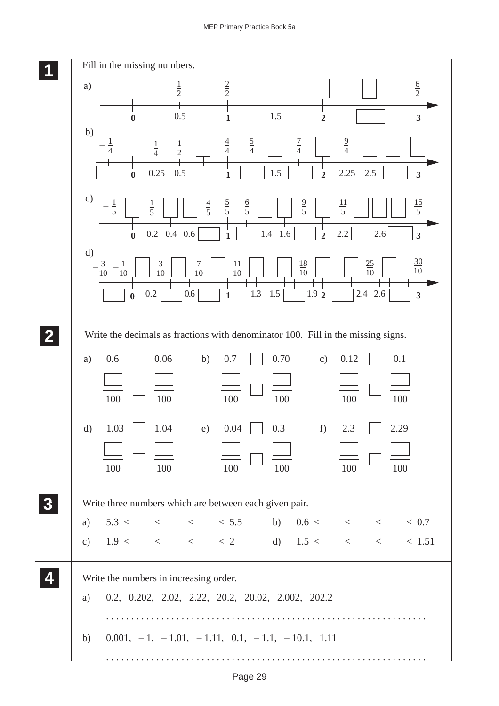![](_page_28_Figure_1.jpeg)

Page 29